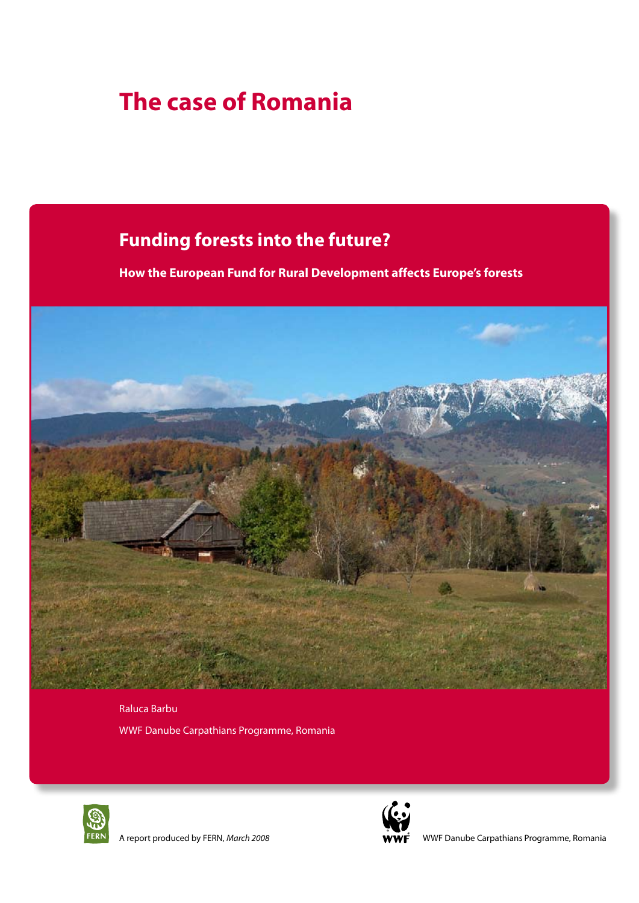# **The case of Romania**

## **Funding forests into the future?**

**How the European Fund for Rural Development affects Europe's forests**



Raluca Barbu WWF Danube Carpathians Programme, Romania



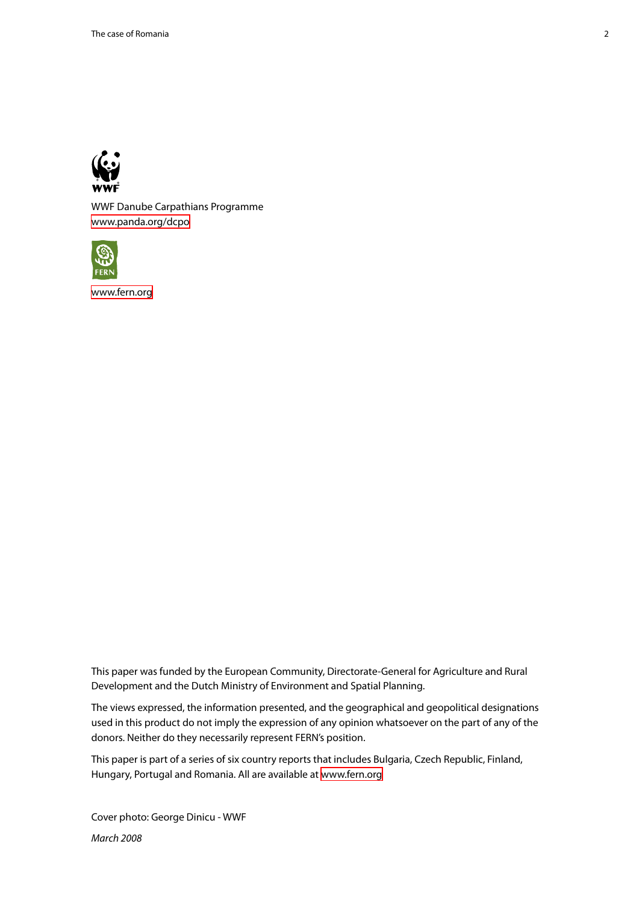

WWF Danube Carpathians Programme <www.panda.org/dcpo>



<www.fern.org>

This paper was funded by the European Community, Directorate-General for Agriculture and Rural Development and the Dutch Ministry of Environment and Spatial Planning.

The views expressed, the information presented, and the geographical and geopolitical designations used in this product do not imply the expression of any opinion whatsoever on the part of any of the donors. Neither do they necessarily represent FERN's position.

This paper is part of a series of six country reports that includes Bulgaria, Czech Republic, Finland, Hungary, Portugal and Romania. All are available at<www.fern.org>

Cover photo: George Dinicu - WWF *March 2008*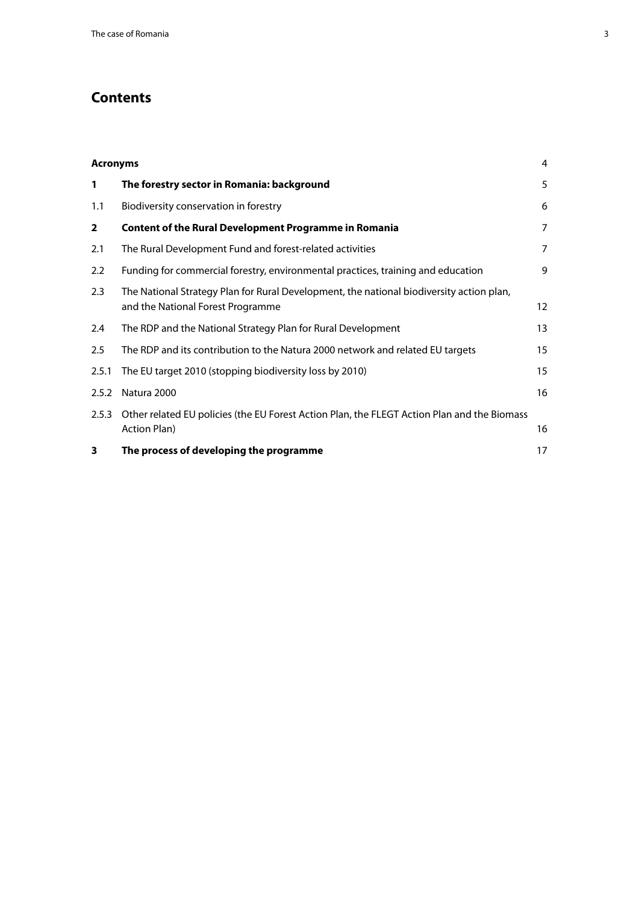## **Contents**

| <b>Acronyms</b> |                                                                                                                               | 4  |
|-----------------|-------------------------------------------------------------------------------------------------------------------------------|----|
| 1               | The forestry sector in Romania: background                                                                                    | 5  |
| 1.1             | Biodiversity conservation in forestry                                                                                         | 6  |
| $\overline{2}$  | <b>Content of the Rural Development Programme in Romania</b>                                                                  | 7  |
| 2.1             | The Rural Development Fund and forest-related activities                                                                      | 7  |
| 2.2             | Funding for commercial forestry, environmental practices, training and education                                              | 9  |
| 2.3             | The National Strategy Plan for Rural Development, the national biodiversity action plan,<br>and the National Forest Programme | 12 |
| 2.4             | The RDP and the National Strategy Plan for Rural Development                                                                  | 13 |
| 2.5             | The RDP and its contribution to the Natura 2000 network and related EU targets                                                | 15 |
| 2.5.1           | The EU target 2010 (stopping biodiversity loss by 2010)                                                                       | 15 |
| 2.5.2           | Natura 2000                                                                                                                   | 16 |
| 2.5.3           | Other related EU policies (the EU Forest Action Plan, the FLEGT Action Plan and the Biomass<br>Action Plan)                   | 16 |
| 3               | The process of developing the programme                                                                                       | 17 |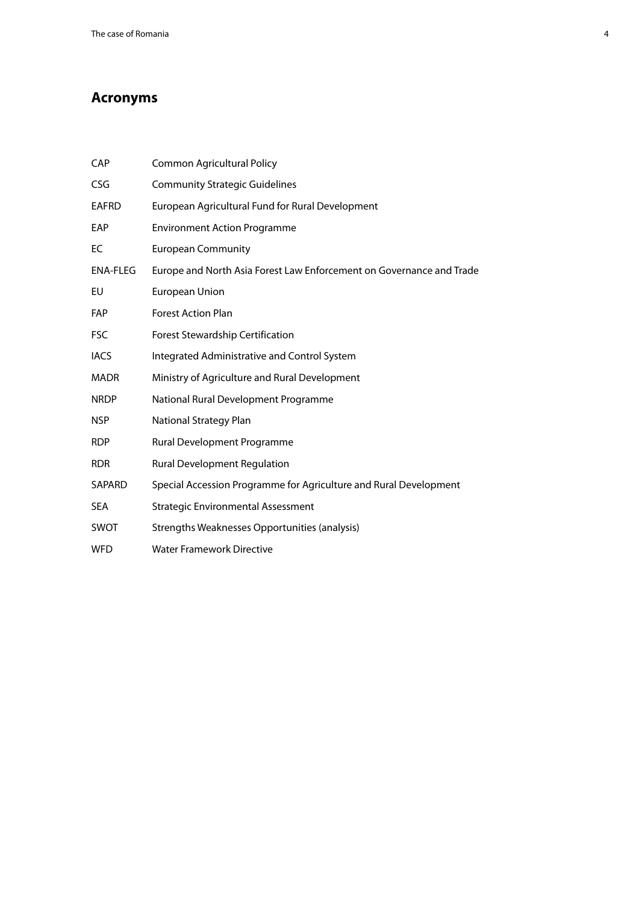## <span id="page-3-0"></span>**Acronyms**

| CAP             | <b>Common Agricultural Policy</b>                                    |
|-----------------|----------------------------------------------------------------------|
| CSG             | <b>Community Strategic Guidelines</b>                                |
| <b>EAFRD</b>    | European Agricultural Fund for Rural Development                     |
| EAP             | <b>Environment Action Programme</b>                                  |
| EC              | <b>European Community</b>                                            |
| <b>ENA-FLEG</b> | Europe and North Asia Forest Law Enforcement on Governance and Trade |
| EU              | <b>European Union</b>                                                |
| <b>FAP</b>      | <b>Forest Action Plan</b>                                            |
| <b>FSC</b>      | Forest Stewardship Certification                                     |
| <b>IACS</b>     | Integrated Administrative and Control System                         |
| <b>MADR</b>     | Ministry of Agriculture and Rural Development                        |
| <b>NRDP</b>     | National Rural Development Programme                                 |
| <b>NSP</b>      | National Strategy Plan                                               |
| <b>RDP</b>      | Rural Development Programme                                          |
| <b>RDR</b>      | <b>Rural Development Regulation</b>                                  |
| SAPARD          | Special Accession Programme for Agriculture and Rural Development    |
| <b>SEA</b>      | <b>Strategic Environmental Assessment</b>                            |
| <b>SWOT</b>     | Strengths Weaknesses Opportunities (analysis)                        |
| <b>WFD</b>      | <b>Water Framework Directive</b>                                     |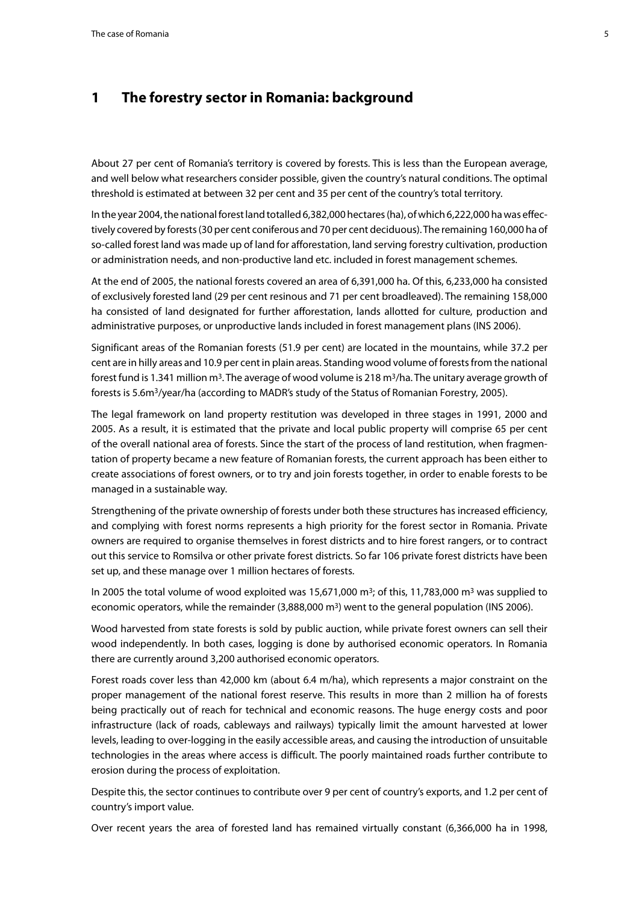## <span id="page-4-0"></span>**1 The forestry sector in Romania: background**

About 27 per cent of Romania's territory is covered by forests. This is less than the European average, and well below what researchers consider possible, given the country's natural conditions. The optimal threshold is estimated at between 32 per cent and 35 per cent of the country's total territory.

In the year 2004, the national forest land totalled 6,382,000 hectares (ha), of which 6,222,000 ha was effectively covered by forests (30 per cent coniferous and 70 per cent deciduous). The remaining 160,000 ha of so-called forest land was made up of land for afforestation, land serving forestry cultivation, production or administration needs, and non-productive land etc. included in forest management schemes.

At the end of 2005, the national forests covered an area of 6,391,000 ha. Of this, 6,233,000 ha consisted of exclusively forested land (29 per cent resinous and 71 per cent broadleaved). The remaining 158,000 ha consisted of land designated for further afforestation, lands allotted for culture, production and administrative purposes, or unproductive lands included in forest management plans (INS 2006).

Significant areas of the Romanian forests (51.9 per cent) are located in the mountains, while 37.2 per cent are in hilly areas and 10.9 per cent in plain areas. Standing wood volume of forests from the national forest fund is 1.341 million  $m<sup>3</sup>$ . The average of wood volume is 218 m<sup>3</sup>/ha. The unitary average growth of forests is 5.6m3/year/ha (according to MADR's study of the Status of Romanian Forestry, 2005).

The legal framework on land property restitution was developed in three stages in 1991, 2000 and 2005. As a result, it is estimated that the private and local public property will comprise 65 per cent of the overall national area of forests. Since the start of the process of land restitution, when fragmentation of property became a new feature of Romanian forests, the current approach has been either to create associations of forest owners, or to try and join forests together, in order to enable forests to be managed in a sustainable way.

Strengthening of the private ownership of forests under both these structures has increased efficiency, and complying with forest norms represents a high priority for the forest sector in Romania. Private owners are required to organise themselves in forest districts and to hire forest rangers, or to contract out this service to Romsilva or other private forest districts. So far 106 private forest districts have been set up, and these manage over 1 million hectares of forests.

In 2005 the total volume of wood exploited was 15,671,000  $\text{m}^3$ ; of this, 11,783,000  $\text{m}^3$  was supplied to economic operators, while the remainder  $(3,888,000 \text{ m}^3)$  went to the general population (INS 2006).

Wood harvested from state forests is sold by public auction, while private forest owners can sell their wood independently. In both cases, logging is done by authorised economic operators. In Romania there are currently around 3,200 authorised economic operators.

Forest roads cover less than 42,000 km (about 6.4 m/ha), which represents a major constraint on the proper management of the national forest reserve. This results in more than 2 million ha of forests being practically out of reach for technical and economic reasons. The huge energy costs and poor infrastructure (lack of roads, cableways and railways) typically limit the amount harvested at lower levels, leading to over-logging in the easily accessible areas, and causing the introduction of unsuitable technologies in the areas where access is difficult. The poorly maintained roads further contribute to erosion during the process of exploitation.

Despite this, the sector continues to contribute over 9 per cent of country's exports, and 1.2 per cent of country's import value.

Over recent years the area of forested land has remained virtually constant (6,366,000 ha in 1998,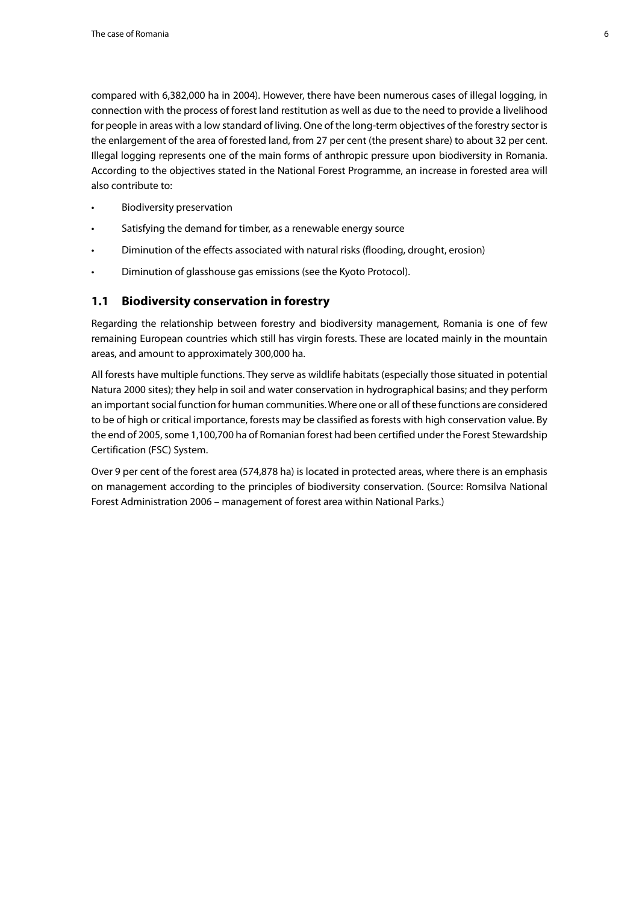<span id="page-5-0"></span>compared with 6,382,000 ha in 2004). However, there have been numerous cases of illegal logging, in connection with the process of forest land restitution as well as due to the need to provide a livelihood for people in areas with a low standard of living. One of the long-term objectives of the forestry sector is the enlargement of the area of forested land, from 27 per cent (the present share) to about 32 per cent. Illegal logging represents one of the main forms of anthropic pressure upon biodiversity in Romania. According to the objectives stated in the National Forest Programme, an increase in forested area will also contribute to:

- **Biodiversity preservation**
- Satisfying the demand for timber, as a renewable energy source
- Diminution of the effects associated with natural risks (flooding, drought, erosion)
- • Diminution of glasshouse gas emissions (see the Kyoto Protocol).

#### **1.1 Biodiversity conservation in forestry**

Regarding the relationship between forestry and biodiversity management, Romania is one of few remaining European countries which still has virgin forests. These are located mainly in the mountain areas, and amount to approximately 300,000 ha.

All forests have multiple functions. They serve as wildlife habitats (especially those situated in potential Natura 2000 sites); they help in soil and water conservation in hydrographical basins; and they perform an important social function for human communities. Where one or all of these functions are considered to be of high or critical importance, forests may be classified as forests with high conservation value. By the end of 2005, some 1,100,700 ha of Romanian forest had been certified under the Forest Stewardship Certification (FSC) System.

Over 9 per cent of the forest area (574,878 ha) is located in protected areas, where there is an emphasis on management according to the principles of biodiversity conservation. (Source: Romsilva National Forest Administration 2006 – management of forest area within National Parks.)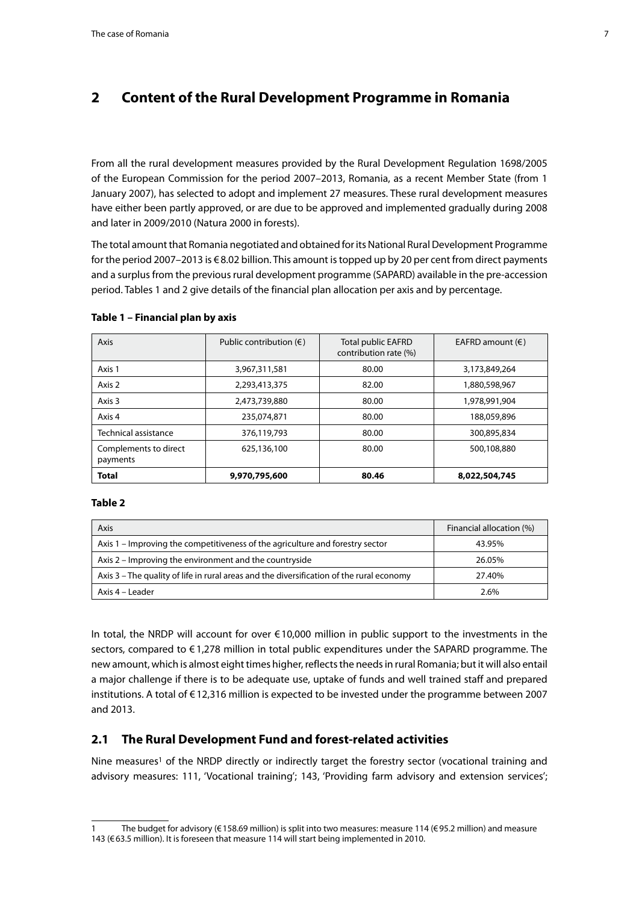## <span id="page-6-0"></span>**2 Content of the Rural Development Programme in Romania**

From all the rural development measures provided by the Rural Development Regulation 1698/2005 of the European Commission for the period 2007–2013, Romania, as a recent Member State (from 1 January 2007), has selected to adopt and implement 27 measures. These rural development measures have either been partly approved, or are due to be approved and implemented gradually during 2008 and later in 2009/2010 (Natura 2000 in forests).

The total amount that Romania negotiated and obtained for its National Rural Development Programme for the period 2007–2013 is €8.02 billion. This amount is topped up by 20 per cent from direct payments and a surplus from the previous rural development programme (SAPARD) available in the pre-accession period. Tables 1 and 2 give details of the financial plan allocation per axis and by percentage.

| Axis                              | Public contribution $(\epsilon)$ | <b>Total public EAFRD</b><br>contribution rate (%) | EAFRD amount $(\epsilon)$ |
|-----------------------------------|----------------------------------|----------------------------------------------------|---------------------------|
| Axis 1                            | 3,967,311,581                    | 80.00                                              | 3,173,849,264             |
| Axis 2                            | 2,293,413,375                    | 82.00                                              | 1,880,598,967             |
| Axis 3                            | 2,473,739,880                    | 80.00                                              | 1,978,991,904             |
| Axis 4                            | 235,074,871                      | 80.00                                              | 188,059,896               |
| Technical assistance              | 376,119,793                      | 80.00                                              | 300,895,834               |
| Complements to direct<br>payments | 625,136,100                      | 80.00                                              | 500,108,880               |
| <b>Total</b>                      | 9,970,795,600                    | 80.46                                              | 8,022,504,745             |

#### **Table 1 – Financial plan by axis**

#### **Table 2**

| Axis                                                                                     | Financial allocation (%) |
|------------------------------------------------------------------------------------------|--------------------------|
| Axis 1 – Improving the competitiveness of the agriculture and forestry sector            | 43.95%                   |
| Axis 2 – Improving the environment and the countryside                                   | 26.05%                   |
| Axis 3 – The quality of life in rural areas and the diversification of the rural economy | 27.40%                   |
| Axis 4 – Leader                                                                          | 2.6%                     |

In total, the NRDP will account for over  $\epsilon$ 10,000 million in public support to the investments in the sectors, compared to €1,278 million in total public expenditures under the SAPARD programme. The new amount, which is almost eight times higher, reflects the needs in rural Romania; but it will also entail a major challenge if there is to be adequate use, uptake of funds and well trained staff and prepared institutions. A total of €12,316 million is expected to be invested under the programme between 2007 and 2013.

#### **2.1 The Rural Development Fund and forest-related activities**

Nine measures<sup>1</sup> of the NRDP directly or indirectly target the forestry sector (vocational training and advisory measures: 111, 'Vocational training'; 143, 'Providing farm advisory and extension services';

<sup>1</sup> The budget for advisory (€158.69 million) is split into two measures: measure 114 (€95.2 million) and measure 143 (€63.5 million). It is foreseen that measure 114 will start being implemented in 2010.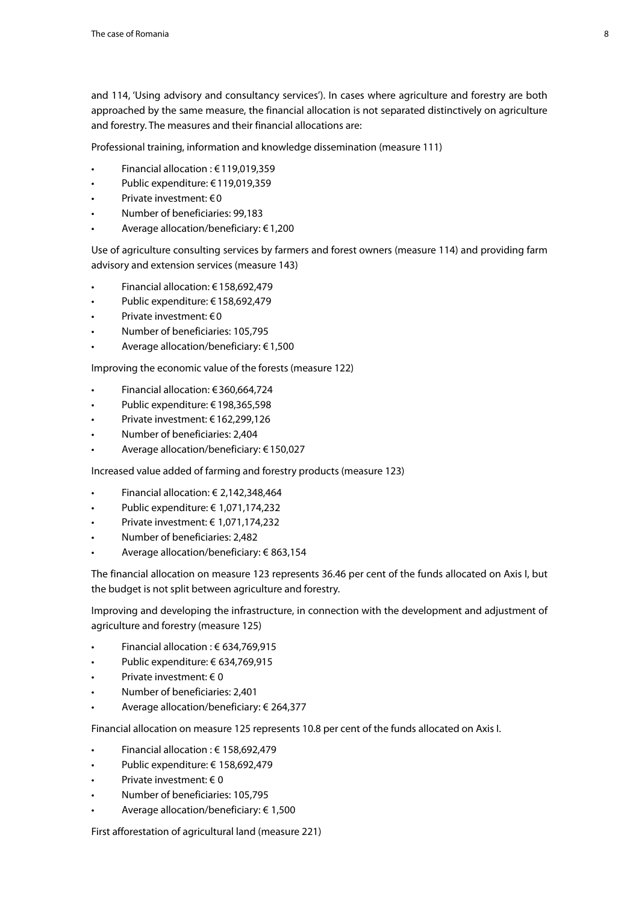and 114, 'Using advisory and consultancy services'). In cases where agriculture and forestry are both approached by the same measure, the financial allocation is not separated distinctively on agriculture and forestry. The measures and their financial allocations are:

Professional training, information and knowledge dissemination (measure 111)

- Financial allocation : €119,019,359
- Public expenditure: €119,019,359
- Private investment:  $\epsilon$  0
- Number of beneficiaries: 99,183
- Average allocation/beneficiary:  $€1,200$

Use of agriculture consulting services by farmers and forest owners (measure 114) and providing farm advisory and extension services (measure 143)

- Financial allocation: €158,692,479
- Public expenditure: €158,692,479
- Private investment:  $€0$
- Number of beneficiaries: 105,795
- Average allocation/beneficiary:  $€1,500$

Improving the economic value of the forests (measure 122)

- Financial allocation: €360,664,724
- Public expenditure: €198,365,598
- Private investment: €162,299,126
- Number of beneficiaries: 2,404
- Average allocation/beneficiary: €150,027

Increased value added of farming and forestry products (measure 123)

- Financial allocation:  $\in$  2,142,348,464
- Public expenditure: € 1,071,174,232
- • Private investment: €  1,071,174,232
- Number of beneficiaries: 2,482
- Average allocation/beneficiary: € 863,154

The financial allocation on measure 123 represents 36.46 per cent of the funds allocated on Axis I, but the budget is not split between agriculture and forestry.

Improving and developing the infrastructure, in connection with the development and adjustment of agriculture and forestry (measure 125)

- Financial allocation :  $\epsilon$  634,769,915
- Public expenditure: € 634,769,915
- Private investment:  $\in$  0
- Number of beneficiaries: 2,401
- Average allocation/beneficiary: € 264,377

Financial allocation on measure 125 represents 10.8 per cent of the funds allocated on Axis I.

- Financial allocation :  $€ 158,692,479$
- Public expenditure: € 158,692,479
- Private investment:  $\in$  0
- Number of beneficiaries: 105,795
- Average allocation/beneficiary:  $\epsilon$  1,500

First afforestation of agricultural land (measure 221)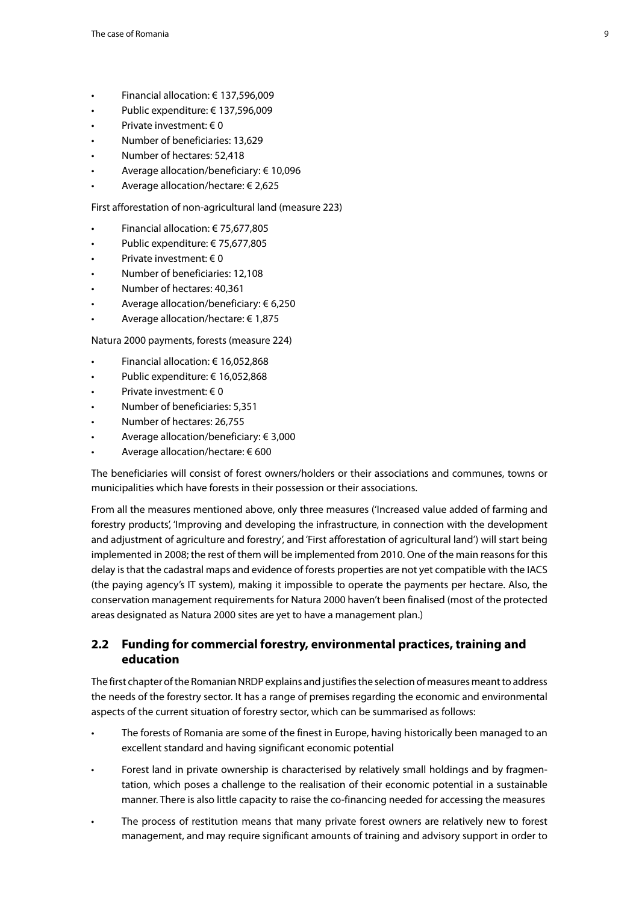- <span id="page-8-0"></span>Financial allocation: € 137,596,009
- Public expenditure: € 137,596,009
- Private investment:  $\in$  0
- Number of beneficiaries: 13,629
- Number of hectares: 52,418
- Average allocation/beneficiary:  $€10,096$
- Average allocation/hectare:  $€ 2,625$

First afforestation of non-agricultural land (measure 223)

- Financial allocation: € 75,677,805
- Public expenditure: € 75,677,805
- Private investment:  $\in$  0
- Number of beneficiaries: 12,108
- Number of hectares: 40,361
- Average allocation/beneficiary:  $\epsilon$  6,250
- Average allocation/hectare:  $\epsilon$  1,875

Natura 2000 payments, forests (measure 224)

- Financial allocation: € 16,052,868
- Public expenditure: € 16,052,868
- Private investment:  $\in$  0
- Number of beneficiaries: 5,351
- Number of hectares: 26.755
- Average allocation/beneficiary:  $\epsilon$  3,000
- Average allocation/hectare:  $600$

The beneficiaries will consist of forest owners/holders or their associations and communes, towns or municipalities which have forests in their possession or their associations.

From all the measures mentioned above, only three measures ('Increased value added of farming and forestry products', 'Improving and developing the infrastructure, in connection with the development and adjustment of agriculture and forestry', and 'First afforestation of agricultural land') will start being implemented in 2008; the rest of them will be implemented from 2010. One of the main reasons for this delay is that the cadastral maps and evidence of forests properties are not yet compatible with the IACS (the paying agency's IT system), making it impossible to operate the payments per hectare. Also, the conservation management requirements for Natura 2000 haven't been finalised (most of the protected areas designated as Natura 2000 sites are yet to have a management plan.)

## **2.2 Funding for commercial forestry, environmental practices, training and education**

The first chapter of the Romanian NRDP explains and justifies the selection of measures meant to address the needs of the forestry sector. It has a range of premises regarding the economic and environmental aspects of the current situation of forestry sector, which can be summarised as follows:

- The forests of Romania are some of the finest in Europe, having historically been managed to an excellent standard and having significant economic potential
- Forest land in private ownership is characterised by relatively small holdings and by fragmentation, which poses a challenge to the realisation of their economic potential in a sustainable manner. There is also little capacity to raise the co-financing needed for accessing the measures
- The process of restitution means that many private forest owners are relatively new to forest management, and may require significant amounts of training and advisory support in order to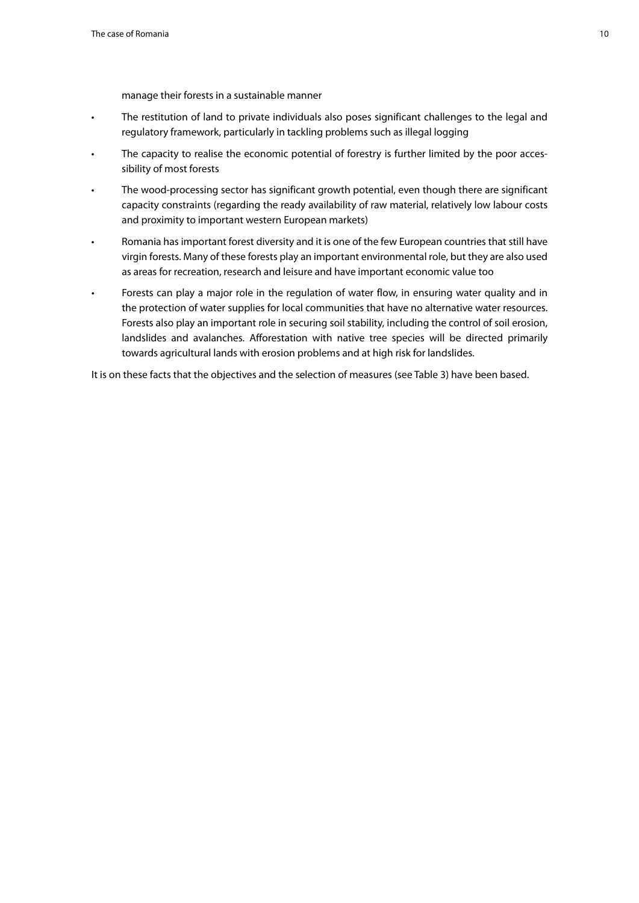manage their forests in a sustainable manner

- The restitution of land to private individuals also poses significant challenges to the legal and regulatory framework, particularly in tackling problems such as illegal logging
- The capacity to realise the economic potential of forestry is further limited by the poor accessibility of most forests
- The wood-processing sector has significant growth potential, even though there are significant capacity constraints (regarding the ready availability of raw material, relatively low labour costs and proximity to important western European markets)
- • Romania has important forest diversity and it is one of the few European countries that still have virgin forests. Many of these forests play an important environmental role, but they are also used as areas for recreation, research and leisure and have important economic value too
- Forests can play a major role in the regulation of water flow, in ensuring water quality and in the protection of water supplies for local communities that have no alternative water resources. Forests also play an important role in securing soil stability, including the control of soil erosion, landslides and avalanches. Afforestation with native tree species will be directed primarily towards agricultural lands with erosion problems and at high risk for landslides.

It is on these facts that the objectives and the selection of measures (see Table 3) have been based.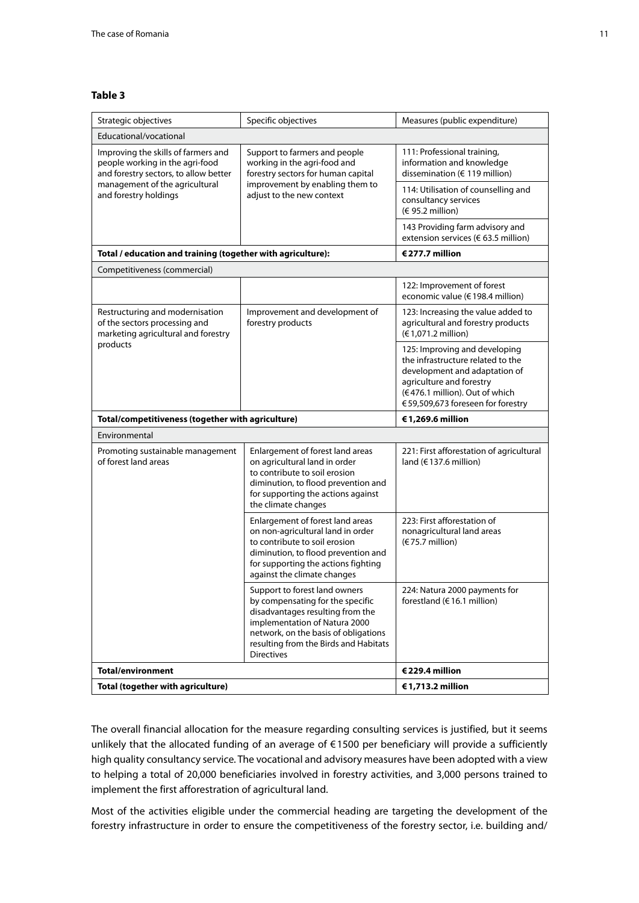#### **Table 3**

| Strategic objectives                                                                                                                                                       | Specific objectives                                                                                                                                                                                                                          | Measures (public expenditure)                                                                                                                                                                          |  |  |  |
|----------------------------------------------------------------------------------------------------------------------------------------------------------------------------|----------------------------------------------------------------------------------------------------------------------------------------------------------------------------------------------------------------------------------------------|--------------------------------------------------------------------------------------------------------------------------------------------------------------------------------------------------------|--|--|--|
| Educational/vocational                                                                                                                                                     |                                                                                                                                                                                                                                              |                                                                                                                                                                                                        |  |  |  |
| Improving the skills of farmers and<br>people working in the agri-food<br>and forestry sectors, to allow better<br>management of the agricultural<br>and forestry holdings | Support to farmers and people<br>working in the agri-food and<br>forestry sectors for human capital<br>improvement by enabling them to<br>adjust to the new context                                                                          | 111: Professional training,<br>information and knowledge<br>dissemination (€ 119 million)                                                                                                              |  |  |  |
|                                                                                                                                                                            |                                                                                                                                                                                                                                              | 114: Utilisation of counselling and<br>consultancy services<br>(€ 95.2 million)                                                                                                                        |  |  |  |
|                                                                                                                                                                            |                                                                                                                                                                                                                                              | 143 Providing farm advisory and<br>extension services (€ 63.5 million)                                                                                                                                 |  |  |  |
| Total / education and training (together with agriculture):                                                                                                                | €277.7 million                                                                                                                                                                                                                               |                                                                                                                                                                                                        |  |  |  |
| Competitiveness (commercial)                                                                                                                                               |                                                                                                                                                                                                                                              |                                                                                                                                                                                                        |  |  |  |
|                                                                                                                                                                            |                                                                                                                                                                                                                                              | 122: Improvement of forest<br>economic value (€198.4 million)                                                                                                                                          |  |  |  |
| Restructuring and modernisation<br>of the sectors processing and<br>marketing agricultural and forestry                                                                    | Improvement and development of<br>forestry products                                                                                                                                                                                          | 123: Increasing the value added to<br>agricultural and forestry products<br>(€1,071.2 million)                                                                                                         |  |  |  |
| products                                                                                                                                                                   |                                                                                                                                                                                                                                              | 125: Improving and developing<br>the infrastructure related to the<br>development and adaptation of<br>agriculture and forestry<br>(€476.1 million). Out of which<br>€59,509,673 foreseen for forestry |  |  |  |
|                                                                                                                                                                            |                                                                                                                                                                                                                                              |                                                                                                                                                                                                        |  |  |  |
| Total/competitiveness (together with agriculture)                                                                                                                          |                                                                                                                                                                                                                                              | €1,269.6 million                                                                                                                                                                                       |  |  |  |
| Environmental                                                                                                                                                              |                                                                                                                                                                                                                                              |                                                                                                                                                                                                        |  |  |  |
| Promoting sustainable management<br>of forest land areas                                                                                                                   | Enlargement of forest land areas<br>on agricultural land in order<br>to contribute to soil erosion<br>diminution, to flood prevention and<br>for supporting the actions against<br>the climate changes                                       | 221: First afforestation of agricultural<br>land ( $€137.6$ million)                                                                                                                                   |  |  |  |
|                                                                                                                                                                            | Enlargement of forest land areas<br>on non-agricultural land in order<br>to contribute to soil erosion<br>diminution, to flood prevention and<br>for supporting the actions fighting<br>against the climate changes                          | 223: First afforestation of<br>nonagricultural land areas<br>(€75.7 million)                                                                                                                           |  |  |  |
|                                                                                                                                                                            | Support to forest land owners<br>by compensating for the specific<br>disadvantages resulting from the<br>implementation of Natura 2000<br>network, on the basis of obligations<br>resulting from the Birds and Habitats<br><b>Directives</b> | 224: Natura 2000 payments for<br>forestland ( $€16.1$ million)                                                                                                                                         |  |  |  |
| <b>Total/environment</b>                                                                                                                                                   |                                                                                                                                                                                                                                              | €229.4 million                                                                                                                                                                                         |  |  |  |

The overall financial allocation for the measure regarding consulting services is justified, but it seems unlikely that the allocated funding of an average of €1500 per beneficiary will provide a sufficiently high quality consultancy service. The vocational and advisory measures have been adopted with a view to helping a total of 20,000 beneficiaries involved in forestry activities, and 3,000 persons trained to implement the first afforestration of agricultural land.

Most of the activities eligible under the commercial heading are targeting the development of the forestry infrastructure in order to ensure the competitiveness of the forestry sector, i.e. building and/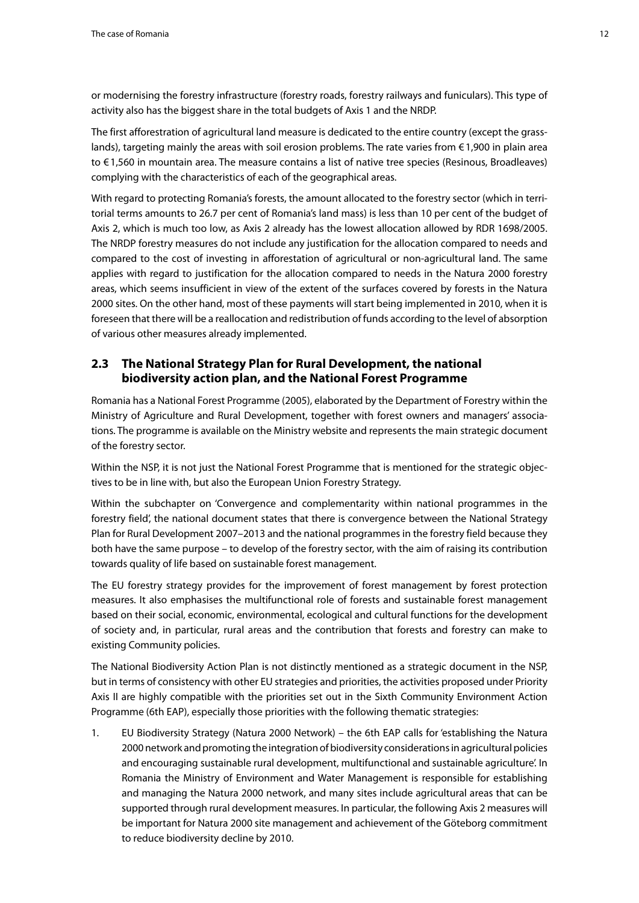<span id="page-11-0"></span>or modernising the forestry infrastructure (forestry roads, forestry railways and funiculars). This type of activity also has the biggest share in the total budgets of Axis 1 and the NRDP.

The first afforestration of agricultural land measure is dedicated to the entire country (except the grasslands), targeting mainly the areas with soil erosion problems. The rate varies from €1,900 in plain area to €1,560 in mountain area. The measure contains a list of native tree species (Resinous, Broadleaves) complying with the characteristics of each of the geographical areas.

With regard to protecting Romania's forests, the amount allocated to the forestry sector (which in territorial terms amounts to 26.7 per cent of Romania's land mass) is less than 10 per cent of the budget of Axis 2, which is much too low, as Axis 2 already has the lowest allocation allowed by RDR 1698/2005. The NRDP forestry measures do not include any justification for the allocation compared to needs and compared to the cost of investing in afforestation of agricultural or non-agricultural land. The same applies with regard to justification for the allocation compared to needs in the Natura 2000 forestry areas, which seems insufficient in view of the extent of the surfaces covered by forests in the Natura 2000 sites. On the other hand, most of these payments will start being implemented in 2010, when it is foreseen that there will be a reallocation and redistribution of funds according to the level of absorption of various other measures already implemented.

## **2.3 The National Strategy Plan for Rural Development, the national biodiversity action plan, and the National Forest Programme**

Romania has a National Forest Programme (2005), elaborated by the Department of Forestry within the Ministry of Agriculture and Rural Development, together with forest owners and managers' associations. The programme is available on the Ministry website and represents the main strategic document of the forestry sector.

Within the NSP, it is not just the National Forest Programme that is mentioned for the strategic objectives to be in line with, but also the European Union Forestry Strategy.

Within the subchapter on 'Convergence and complementarity within national programmes in the forestry field', the national document states that there is convergence between the National Strategy Plan for Rural Development 2007–2013 and the national programmes in the forestry field because they both have the same purpose – to develop of the forestry sector, with the aim of raising its contribution towards quality of life based on sustainable forest management.

The EU forestry strategy provides for the improvement of forest management by forest protection measures. It also emphasises the multifunctional role of forests and sustainable forest management based on their social, economic, environmental, ecological and cultural functions for the development of society and, in particular, rural areas and the contribution that forests and forestry can make to existing Community policies.

The National Biodiversity Action Plan is not distinctly mentioned as a strategic document in the NSP, but in terms of consistency with other EU strategies and priorities, the activities proposed under Priority Axis II are highly compatible with the priorities set out in the Sixth Community Environment Action Programme (6th EAP), especially those priorities with the following thematic strategies:

1. EU Biodiversity Strategy (Natura 2000 Network) – the 6th EAP calls for 'establishing the Natura 2000 network and promoting the integration of biodiversity considerations in agricultural policies and encouraging sustainable rural development, multifunctional and sustainable agriculture'. In Romania the Ministry of Environment and Water Management is responsible for establishing and managing the Natura 2000 network, and many sites include agricultural areas that can be supported through rural development measures. In particular, the following Axis 2 measures will be important for Natura 2000 site management and achievement of the Göteborg commitment to reduce biodiversity decline by 2010.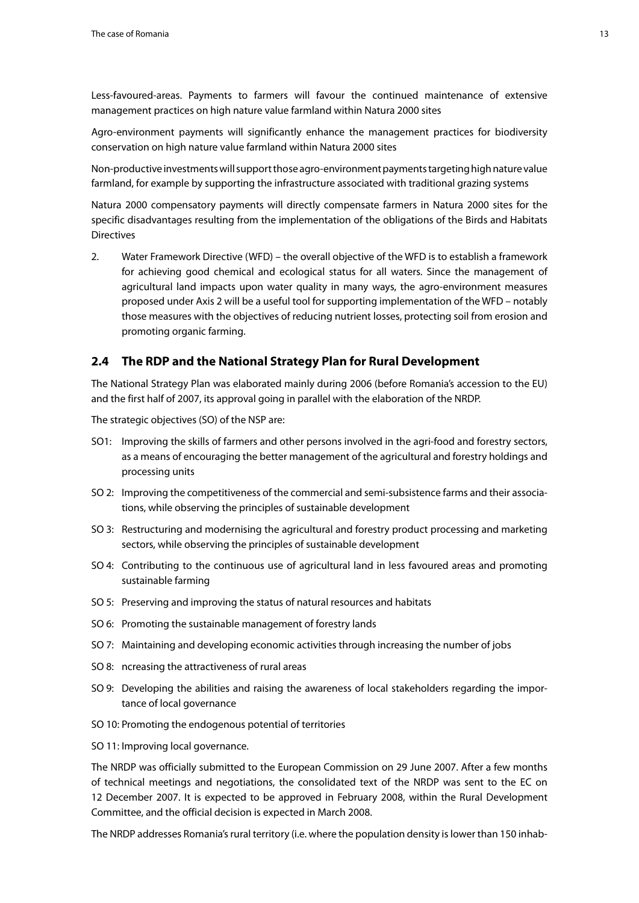<span id="page-12-0"></span>Less-favoured-areas. Payments to farmers will favour the continued maintenance of extensive management practices on high nature value farmland within Natura 2000 sites

Agro-environment payments will significantly enhance the management practices for biodiversity conservation on high nature value farmland within Natura 2000 sites

Non-productive investments will support those agro-environment payments targeting high nature value farmland, for example by supporting the infrastructure associated with traditional grazing systems

Natura 2000 compensatory payments will directly compensate farmers in Natura 2000 sites for the specific disadvantages resulting from the implementation of the obligations of the Birds and Habitats **Directives** 

2. Water Framework Directive (WFD) – the overall objective of the WFD is to establish a framework for achieving good chemical and ecological status for all waters. Since the management of agricultural land impacts upon water quality in many ways, the agro-environment measures proposed under Axis 2 will be a useful tool for supporting implementation of the WFD – notably those measures with the objectives of reducing nutrient losses, protecting soil from erosion and promoting organic farming.

#### **2.4 The RDP and the National Strategy Plan for Rural Development**

The National Strategy Plan was elaborated mainly during 2006 (before Romania's accession to the EU) and the first half of 2007, its approval going in parallel with the elaboration of the NRDP.

The strategic objectives (SO) of the NSP are:

- SO1: Improving the skills of farmers and other persons involved in the agri-food and forestry sectors, as a means of encouraging the better management of the agricultural and forestry holdings and processing units
- SO 2: Improving the competitiveness of the commercial and semi-subsistence farms and their associations, while observing the principles of sustainable development
- SO 3: Restructuring and modernising the agricultural and forestry product processing and marketing sectors, while observing the principles of sustainable development
- SO 4: Contributing to the continuous use of agricultural land in less favoured areas and promoting sustainable farming
- SO 5: Preserving and improving the status of natural resources and habitats
- SO 6: Promoting the sustainable management of forestry lands
- SO 7: Maintaining and developing economic activities through increasing the number of jobs
- SO 8: ncreasing the attractiveness of rural areas
- SO 9: Developing the abilities and raising the awareness of local stakeholders regarding the importance of local governance
- SO 10: Promoting the endogenous potential of territories
- SO 11: Improving local governance.

The NRDP was officially submitted to the European Commission on 29 June 2007. After a few months of technical meetings and negotiations, the consolidated text of the NRDP was sent to the EC on 12 December 2007. It is expected to be approved in February 2008, within the Rural Development Committee, and the official decision is expected in March 2008.

The NRDP addresses Romania's rural territory (i.e. where the population density is lower than 150 inhab-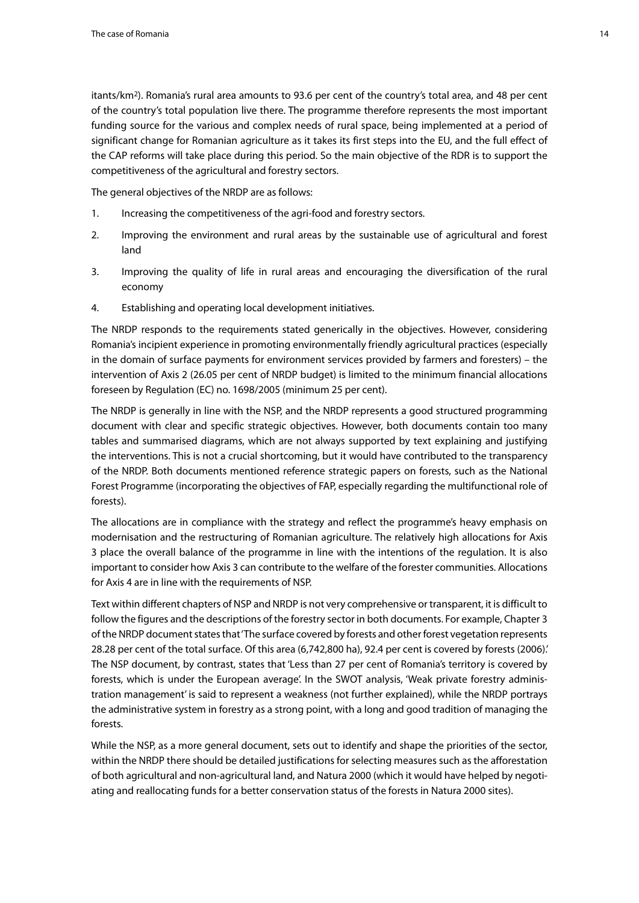itants/km2). Romania's rural area amounts to 93.6 per cent of the country's total area, and 48 per cent of the country's total population live there. The programme therefore represents the most important funding source for the various and complex needs of rural space, being implemented at a period of significant change for Romanian agriculture as it takes its first steps into the EU, and the full effect of the CAP reforms will take place during this period. So the main objective of the RDR is to support the competitiveness of the agricultural and forestry sectors.

The general objectives of the NRDP are as follows:

- 1. Increasing the competitiveness of the agri-food and forestry sectors.
- 2. Improving the environment and rural areas by the sustainable use of agricultural and forest land
- 3. Improving the quality of life in rural areas and encouraging the diversification of the rural economy
- 4. Establishing and operating local development initiatives.

The NRDP responds to the requirements stated generically in the objectives. However, considering Romania's incipient experience in promoting environmentally friendly agricultural practices (especially in the domain of surface payments for environment services provided by farmers and foresters) – the intervention of Axis 2 (26.05 per cent of NRDP budget) is limited to the minimum financial allocations foreseen by Regulation (EC) no. 1698/2005 (minimum 25 per cent).

The NRDP is generally in line with the NSP, and the NRDP represents a good structured programming document with clear and specific strategic objectives. However, both documents contain too many tables and summarised diagrams, which are not always supported by text explaining and justifying the interventions. This is not a crucial shortcoming, but it would have contributed to the transparency of the NRDP. Both documents mentioned reference strategic papers on forests, such as the National Forest Programme (incorporating the objectives of FAP, especially regarding the multifunctional role of forests).

The allocations are in compliance with the strategy and reflect the programme's heavy emphasis on modernisation and the restructuring of Romanian agriculture. The relatively high allocations for Axis 3 place the overall balance of the programme in line with the intentions of the regulation. It is also important to consider how Axis 3 can contribute to the welfare of the forester communities. Allocations for Axis 4 are in line with the requirements of NSP.

Text within different chapters of NSP and NRDP is not very comprehensive or transparent, it is difficult to follow the figures and the descriptions of the forestry sector in both documents. For example, Chapter 3 of the NRDP document states that 'The surface covered by forests and other forest vegetation represents 28.28 per cent of the total surface. Of this area (6,742,800 ha), 92.4 per cent is covered by forests (2006).' The NSP document, by contrast, states that 'Less than 27 per cent of Romania's territory is covered by forests, which is under the European average'. In the SWOT analysis, 'Weak private forestry administration management' is said to represent a weakness (not further explained), while the NRDP portrays the administrative system in forestry as a strong point, with a long and good tradition of managing the forests.

While the NSP, as a more general document, sets out to identify and shape the priorities of the sector, within the NRDP there should be detailed justifications for selecting measures such as the afforestation of both agricultural and non-agricultural land, and Natura 2000 (which it would have helped by negotiating and reallocating funds for a better conservation status of the forests in Natura 2000 sites).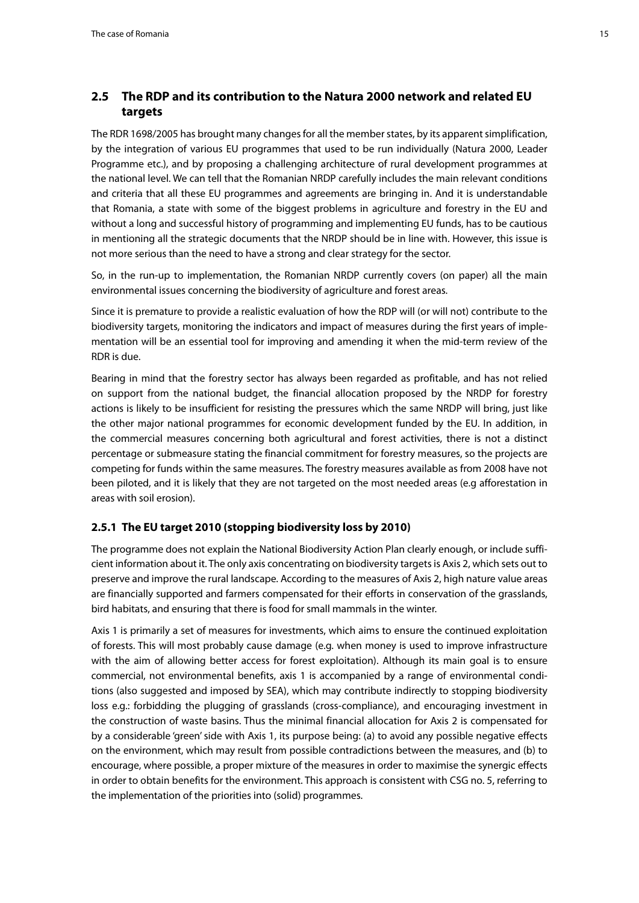## <span id="page-14-0"></span>**2.5 The RDP and its contribution to the Natura 2000 network and related EU targets**

The RDR 1698/2005 has brought many changes for all the member states, by its apparent simplification, by the integration of various EU programmes that used to be run individually (Natura 2000, Leader Programme etc.), and by proposing a challenging architecture of rural development programmes at the national level. We can tell that the Romanian NRDP carefully includes the main relevant conditions and criteria that all these EU programmes and agreements are bringing in. And it is understandable that Romania, a state with some of the biggest problems in agriculture and forestry in the EU and without a long and successful history of programming and implementing EU funds, has to be cautious in mentioning all the strategic documents that the NRDP should be in line with. However, this issue is not more serious than the need to have a strong and clear strategy for the sector.

So, in the run-up to implementation, the Romanian NRDP currently covers (on paper) all the main environmental issues concerning the biodiversity of agriculture and forest areas.

Since it is premature to provide a realistic evaluation of how the RDP will (or will not) contribute to the biodiversity targets, monitoring the indicators and impact of measures during the first years of implementation will be an essential tool for improving and amending it when the mid-term review of the RDR is due.

Bearing in mind that the forestry sector has always been regarded as profitable, and has not relied on support from the national budget, the financial allocation proposed by the NRDP for forestry actions is likely to be insufficient for resisting the pressures which the same NRDP will bring, just like the other major national programmes for economic development funded by the EU. In addition, in the commercial measures concerning both agricultural and forest activities, there is not a distinct percentage or submeasure stating the financial commitment for forestry measures, so the projects are competing for funds within the same measures. The forestry measures available as from 2008 have not been piloted, and it is likely that they are not targeted on the most needed areas (e.g afforestation in areas with soil erosion).

#### **2.5.1 The EU target 2010 (stopping biodiversity loss by 2010)**

The programme does not explain the National Biodiversity Action Plan clearly enough, or include sufficient information about it. The only axis concentrating on biodiversity targets is Axis 2, which sets out to preserve and improve the rural landscape. According to the measures of Axis 2, high nature value areas are financially supported and farmers compensated for their efforts in conservation of the grasslands, bird habitats, and ensuring that there is food for small mammals in the winter.

Axis 1 is primarily a set of measures for investments, which aims to ensure the continued exploitation of forests. This will most probably cause damage (e.g. when money is used to improve infrastructure with the aim of allowing better access for forest exploitation). Although its main goal is to ensure commercial, not environmental benefits, axis 1 is accompanied by a range of environmental conditions (also suggested and imposed by SEA), which may contribute indirectly to stopping biodiversity loss e.g.: forbidding the plugging of grasslands (cross-compliance), and encouraging investment in the construction of waste basins. Thus the minimal financial allocation for Axis 2 is compensated for by a considerable 'green' side with Axis 1, its purpose being: (a) to avoid any possible negative effects on the environment, which may result from possible contradictions between the measures, and (b) to encourage, where possible, a proper mixture of the measures in order to maximise the synergic effects in order to obtain benefits for the environment. This approach is consistent with CSG no. 5, referring to the implementation of the priorities into (solid) programmes.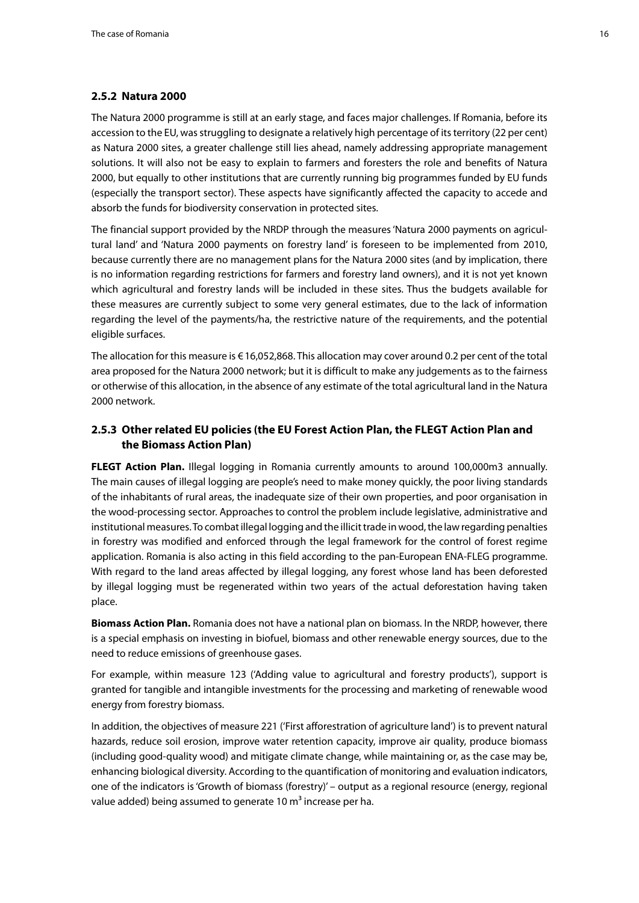#### <span id="page-15-0"></span>**2.5.2 Natura 2000**

The Natura 2000 programme is still at an early stage, and faces major challenges. If Romania, before its accession to the EU, was struggling to designate a relatively high percentage of its territory (22 per cent) as Natura 2000 sites, a greater challenge still lies ahead, namely addressing appropriate management solutions. It will also not be easy to explain to farmers and foresters the role and benefits of Natura 2000, but equally to other institutions that are currently running big programmes funded by EU funds (especially the transport sector). These aspects have significantly affected the capacity to accede and absorb the funds for biodiversity conservation in protected sites.

The financial support provided by the NRDP through the measures 'Natura 2000 payments on agricultural land' and 'Natura 2000 payments on forestry land' is foreseen to be implemented from 2010, because currently there are no management plans for the Natura 2000 sites (and by implication, there is no information regarding restrictions for farmers and forestry land owners), and it is not yet known which agricultural and forestry lands will be included in these sites. Thus the budgets available for these measures are currently subject to some very general estimates, due to the lack of information regarding the level of the payments/ha, the restrictive nature of the requirements, and the potential eligible surfaces.

The allocation for this measure is €16,052,868. This allocation may cover around 0.2 per cent of the total area proposed for the Natura 2000 network; but it is difficult to make any judgements as to the fairness or otherwise of this allocation, in the absence of any estimate of the total agricultural land in the Natura 2000 network.

### **2.5.3 Other related EU policies (the EU Forest Action Plan, the FLEGT Action Plan and the Biomass Action Plan)**

**FLEGT Action Plan.** Illegal logging in Romania currently amounts to around 100,000m3 annually. The main causes of illegal logging are people's need to make money quickly, the poor living standards of the inhabitants of rural areas, the inadequate size of their own properties, and poor organisation in the wood-processing sector. Approaches to control the problem include legislative, administrative and institutional measures. To combat illegal logging and the illicit trade in wood, the law regarding penalties in forestry was modified and enforced through the legal framework for the control of forest regime application. Romania is also acting in this field according to the pan-European ENA-FLEG programme. With regard to the land areas affected by illegal logging, any forest whose land has been deforested by illegal logging must be regenerated within two years of the actual deforestation having taken place.

**Biomass Action Plan.** Romania does not have a national plan on biomass. In the NRDP, however, there is a special emphasis on investing in biofuel, biomass and other renewable energy sources, due to the need to reduce emissions of greenhouse gases.

For example, within measure 123 ('Adding value to agricultural and forestry products'), support is granted for tangible and intangible investments for the processing and marketing of renewable wood energy from forestry biomass.

In addition, the objectives of measure 221 ('First afforestration of agriculture land') is to prevent natural hazards, reduce soil erosion, improve water retention capacity, improve air quality, produce biomass (including good-quality wood) and mitigate climate change, while maintaining or, as the case may be, enhancing biological diversity. According to the quantification of monitoring and evaluation indicators, one of the indicators is 'Growth of biomass (forestry)' – output as a regional resource (energy, regional value added) being assumed to generate 10 m<sup>3</sup> increase per ha.